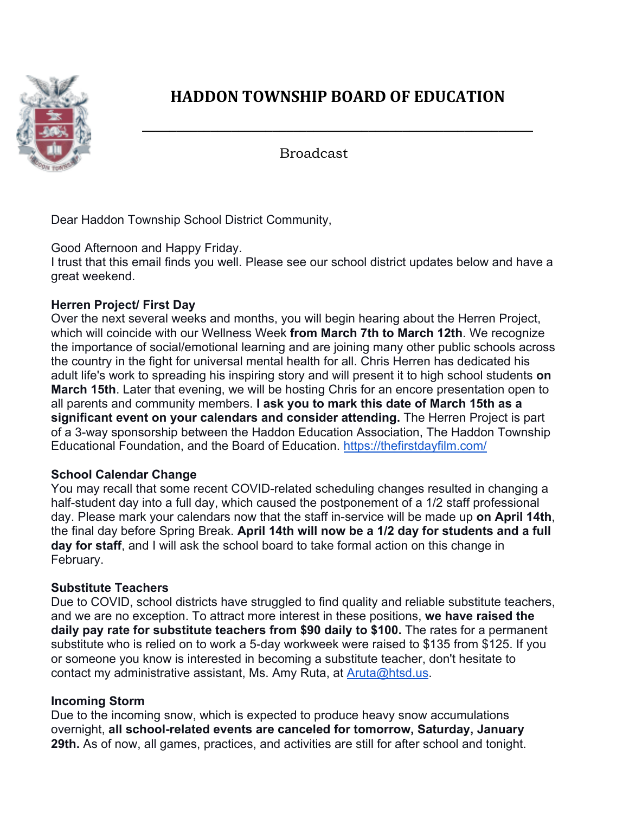

# **HADDON TOWNSHIP BOARD OF EDUCATION**

**\_\_\_\_\_\_\_\_\_\_\_\_\_\_\_\_\_\_\_\_\_\_\_\_\_\_\_\_\_\_\_\_\_\_\_\_\_\_\_\_\_\_\_\_\_\_\_\_\_\_\_\_\_\_\_\_\_**

Broadcast

Dear Haddon Township School District Community,

Good Afternoon and Happy Friday.

I trust that this email finds you well. Please see our school district updates below and have a great weekend.

## **Herren Project/ First Day**

Over the next several weeks and months, you will begin hearing about the Herren Project, which will coincide with our Wellness Week **from March 7th to March 12th**. We recognize the importance of social/emotional learning and are joining many other public schools across the country in the fight for universal mental health for all. Chris Herren has dedicated his adult life's work to spreading his inspiring story and will present it to high school students **on March 15th**. Later that evening, we will be hosting Chris for an encore presentation open to all parents and community members. **I ask you to mark this date of March 15th as a significant event on your calendars and consider attending.** The Herren Project is part of a 3-way sponsorship between the Haddon Education Association, The Haddon Township Educational Foundation, and the Board of Education. https://thefirstdayfilm.com/

### **School Calendar Change**

You may recall that some recent COVID-related scheduling changes resulted in changing a half-student day into a full day, which caused the postponement of a 1/2 staff professional day. Please mark your calendars now that the staff in-service will be made up **on April 14th**, the final day before Spring Break. **April 14th will now be a 1/2 day for students and a full day for staff**, and I will ask the school board to take formal action on this change in February.

### **Substitute Teachers**

Due to COVID, school districts have struggled to find quality and reliable substitute teachers, and we are no exception. To attract more interest in these positions, **we have raised the daily pay rate for substitute teachers from \$90 daily to \$100.** The rates for a permanent substitute who is relied on to work a 5-day workweek were raised to \$135 from \$125. If you or someone you know is interested in becoming a substitute teacher, don't hesitate to contact my administrative assistant, Ms. Amy Ruta, at Aruta@htsd.us.

### **Incoming Storm**

Due to the incoming snow, which is expected to produce heavy snow accumulations overnight, **all school-related events are canceled for tomorrow, Saturday, January 29th.** As of now, all games, practices, and activities are still for after school and tonight.